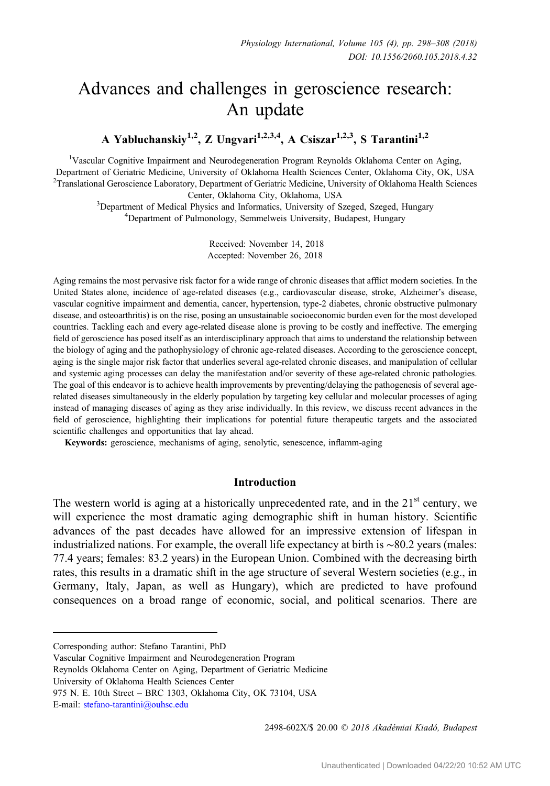# Advances and challenges in geroscience research: An update

A Yabluchanskiy<sup>1,2</sup>, Z Ungvari<sup>1,2,3,4</sup>, A Csiszar<sup>1,2,3</sup>, S Tarantini<sup>1,2</sup>

<sup>1</sup>Vascular Cognitive Impairment and Neurodegeneration Program Reynolds Oklahoma Center on Aging, Department of Geriatric Medicine, University of Oklahoma Health Sciences Center, Oklahoma City, OK, USA 2 Translational Geroscience Laboratory, Department of Geriatric Medicine, University of Oklahoma Health Sciences

Center, Oklahoma City, Oklahoma, USA<br><sup>3</sup> Department of Medical Physics and Informatics University of S<sup>3</sup> Department of Medical Physics and Informatics, University of Szeged, Szeged, Hungary<br><sup>4</sup>Department of Pulmonology, Semmelweis University, Budapest, Hungary Department of Pulmonology, Semmelweis University, Budapest, Hungary

> Received: November 14, 2018 Accepted: November 26, 2018

Aging remains the most pervasive risk factor for a wide range of chronic diseases that afflict modern societies. In the United States alone, incidence of age-related diseases (e.g., cardiovascular disease, stroke, Alzheimer's disease, vascular cognitive impairment and dementia, cancer, hypertension, type-2 diabetes, chronic obstructive pulmonary disease, and osteoarthritis) is on the rise, posing an unsustainable socioeconomic burden even for the most developed countries. Tackling each and every age-related disease alone is proving to be costly and ineffective. The emerging field of geroscience has posed itself as an interdisciplinary approach that aims to understand the relationship between the biology of aging and the pathophysiology of chronic age-related diseases. According to the geroscience concept, aging is the single major risk factor that underlies several age-related chronic diseases, and manipulation of cellular and systemic aging processes can delay the manifestation and/or severity of these age-related chronic pathologies. The goal of this endeavor is to achieve health improvements by preventing/delaying the pathogenesis of several agerelated diseases simultaneously in the elderly population by targeting key cellular and molecular processes of aging instead of managing diseases of aging as they arise individually. In this review, we discuss recent advances in the field of geroscience, highlighting their implications for potential future therapeutic targets and the associated scientific challenges and opportunities that lay ahead.

Keywords: geroscience, mechanisms of aging, senolytic, senescence, inflamm-aging

## Introduction

The western world is aging at a historically unprecedented rate, and in the  $21<sup>st</sup>$  century, we will experience the most dramatic aging demographic shift in human history. Scientific advances of the past decades have allowed for an impressive extension of lifespan in industrialized nations. For example, the overall life expectancy at birth is ∼80.2 years (males: 77.4 years; females: 83.2 years) in the European Union. Combined with the decreasing birth rates, this results in a dramatic shift in the age structure of several Western societies (e.g., in Germany, Italy, Japan, as well as Hungary), which are predicted to have profound consequences on a broad range of economic, social, and political scenarios. There are

2498-602X/\$ 20.00 © 2018 Akadémiai Kiadó, Budapest

Corresponding author: Stefano Tarantini, PhD

Vascular Cognitive Impairment and Neurodegeneration Program

Reynolds Oklahoma Center on Aging, Department of Geriatric Medicine

University of Oklahoma Health Sciences Center E-mail: stefano‑[tarantini@ouhsc.edu](mailto:stefano-tarantini@ouhsc.edu) 975 N. E. 10th Street – BRC 1303, Oklahoma City, OK 73104, USA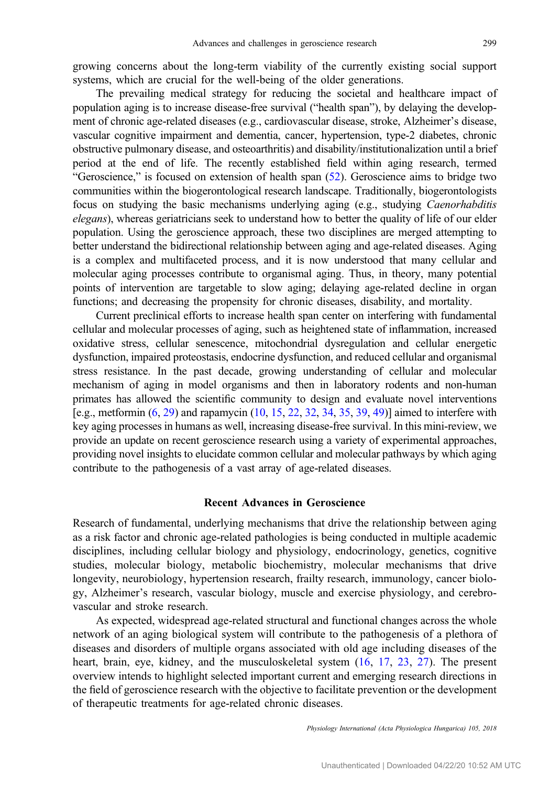growing concerns about the long-term viability of the currently existing social support systems, which are crucial for the well-being of the older generations.

The prevailing medical strategy for reducing the societal and healthcare impact of population aging is to increase disease-free survival ("health span"), by delaying the development of chronic age-related diseases (e.g., cardiovascular disease, stroke, Alzheimer's disease, vascular cognitive impairment and dementia, cancer, hypertension, type-2 diabetes, chronic obstructive pulmonary disease, and osteoarthritis) and disability/institutionalization until a brief period at the end of life. The recently established field within aging research, termed "Geroscience," is focused on extension of health span ([52\)](#page-8-0). Geroscience aims to bridge two communities within the biogerontological research landscape. Traditionally, biogerontologists focus on studying the basic mechanisms underlying aging (e.g., studying Caenorhabditis elegans), whereas geriatricians seek to understand how to better the quality of life of our elder population. Using the geroscience approach, these two disciplines are merged attempting to better understand the bidirectional relationship between aging and age-related diseases. Aging is a complex and multifaceted process, and it is now understood that many cellular and molecular aging processes contribute to organismal aging. Thus, in theory, many potential points of intervention are targetable to slow aging; delaying age-related decline in organ functions; and decreasing the propensity for chronic diseases, disability, and mortality.

Current preclinical efforts to increase health span center on interfering with fundamental cellular and molecular processes of aging, such as heightened state of inflammation, increased oxidative stress, cellular senescence, mitochondrial dysregulation and cellular energetic dysfunction, impaired proteostasis, endocrine dysfunction, and reduced cellular and organismal stress resistance. In the past decade, growing understanding of cellular and molecular mechanism of aging in model organisms and then in laboratory rodents and non-human primates has allowed the scientific community to design and evaluate novel interventions [e.g., metformin [\(6](#page-6-0), [29](#page-7-0)) and rapamycin [\(10,](#page-6-0) [15](#page-6-0), [22](#page-6-0), [32,](#page-7-0) [34,](#page-7-0) [35](#page-7-0), [39](#page-7-0), [49\)](#page-8-0)] aimed to interfere with key aging processes in humans as well, increasing disease-free survival. In this mini-review, we provide an update on recent geroscience research using a variety of experimental approaches, providing novel insights to elucidate common cellular and molecular pathways by which aging contribute to the pathogenesis of a vast array of age-related diseases.

#### Recent Advances in Geroscience

Research of fundamental, underlying mechanisms that drive the relationship between aging as a risk factor and chronic age-related pathologies is being conducted in multiple academic disciplines, including cellular biology and physiology, endocrinology, genetics, cognitive studies, molecular biology, metabolic biochemistry, molecular mechanisms that drive longevity, neurobiology, hypertension research, frailty research, immunology, cancer biology, Alzheimer's research, vascular biology, muscle and exercise physiology, and cerebrovascular and stroke research.

As expected, widespread age-related structural and functional changes across the whole network of an aging biological system will contribute to the pathogenesis of a plethora of diseases and disorders of multiple organs associated with old age including diseases of the heart, brain, eye, kidney, and the musculoskeletal system ([16,](#page-6-0) [17](#page-6-0), [23](#page-6-0), [27](#page-7-0)). The present overview intends to highlight selected important current and emerging research directions in the field of geroscience research with the objective to facilitate prevention or the development of therapeutic treatments for age-related chronic diseases.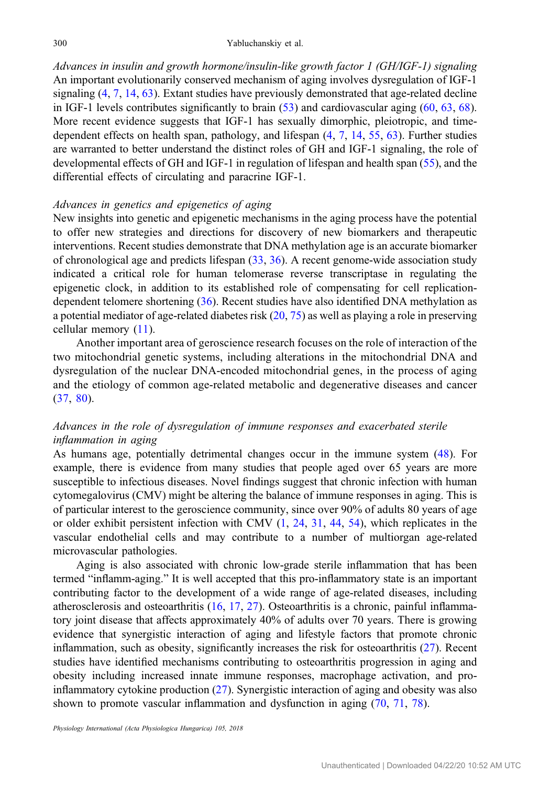Advances in insulin and growth hormone/insulin-like growth factor 1 (GH/IGF-1) signaling An important evolutionarily conserved mechanism of aging involves dysregulation of IGF-1 signaling [\(4](#page-5-0), [7](#page-6-0), [14](#page-6-0), [63](#page-8-0)). Extant studies have previously demonstrated that age-related decline in IGF-1 levels contributes significantly to brain  $(53)$  $(53)$  and cardiovascular aging  $(60, 63, 68)$  $(60, 63, 68)$  $(60, 63, 68)$  $(60, 63, 68)$  $(60, 63, 68)$  $(60, 63, 68)$  $(60, 63, 68)$ . More recent evidence suggests that IGF-1 has sexually dimorphic, pleiotropic, and timedependent effects on health span, pathology, and lifespan ([4,](#page-5-0) [7](#page-6-0), [14,](#page-6-0) [55](#page-8-0), [63\)](#page-8-0). Further studies are warranted to better understand the distinct roles of GH and IGF-1 signaling, the role of developmental effects of GH and IGF-1 in regulation of lifespan and health span ([55\)](#page-8-0), and the differential effects of circulating and paracrine IGF-1.

## Advances in genetics and epigenetics of aging

New insights into genetic and epigenetic mechanisms in the aging process have the potential to offer new strategies and directions for discovery of new biomarkers and therapeutic interventions. Recent studies demonstrate that DNA methylation age is an accurate biomarker of chronological age and predicts lifespan [\(33](#page-7-0), [36](#page-7-0)). A recent genome-wide association study indicated a critical role for human telomerase reverse transcriptase in regulating the epigenetic clock, in addition to its established role of compensating for cell replicationdependent telomere shortening ([36\)](#page-7-0). Recent studies have also identified DNA methylation as a potential mediator of age-related diabetes risk ([20,](#page-6-0) [75](#page-9-0)) as well as playing a role in preserving cellular memory ([11\)](#page-6-0).

Another important area of geroscience research focuses on the role of interaction of the two mitochondrial genetic systems, including alterations in the mitochondrial DNA and dysregulation of the nuclear DNA-encoded mitochondrial genes, in the process of aging and the etiology of common age-related metabolic and degenerative diseases and cancer [\(37,](#page-7-0) [80\)](#page-9-0).

# Advances in the role of dysregulation of immune responses and exacerbated sterile inflammation in aging

As humans age, potentially detrimental changes occur in the immune system ([48\)](#page-8-0). For example, there is evidence from many studies that people aged over 65 years are more susceptible to infectious diseases. Novel findings suggest that chronic infection with human cytomegalovirus (CMV) might be altering the balance of immune responses in aging. This is of particular interest to the geroscience community, since over 90% of adults 80 years of age or older exhibit persistent infection with CMV ([1,](#page-5-0) [24,](#page-6-0) [31,](#page-7-0) [44,](#page-8-0) [54\)](#page-8-0), which replicates in the vascular endothelial cells and may contribute to a number of multiorgan age-related microvascular pathologies.

Aging is also associated with chronic low-grade sterile inflammation that has been termed "inflamm-aging." It is well accepted that this pro-inflammatory state is an important contributing factor to the development of a wide range of age-related diseases, including atherosclerosis and osteoarthritis ([16,](#page-6-0) [17](#page-6-0), [27\)](#page-7-0). Osteoarthritis is a chronic, painful inflammatory joint disease that affects approximately 40% of adults over 70 years. There is growing evidence that synergistic interaction of aging and lifestyle factors that promote chronic inflammation, such as obesity, significantly increases the risk for osteoarthritis ([27\)](#page-7-0). Recent studies have identified mechanisms contributing to osteoarthritis progression in aging and obesity including increased innate immune responses, macrophage activation, and proinflammatory cytokine production ([27\)](#page-7-0). Synergistic interaction of aging and obesity was also shown to promote vascular inflammation and dysfunction in aging ([70](#page-9-0), [71,](#page-9-0) [78\)](#page-9-0).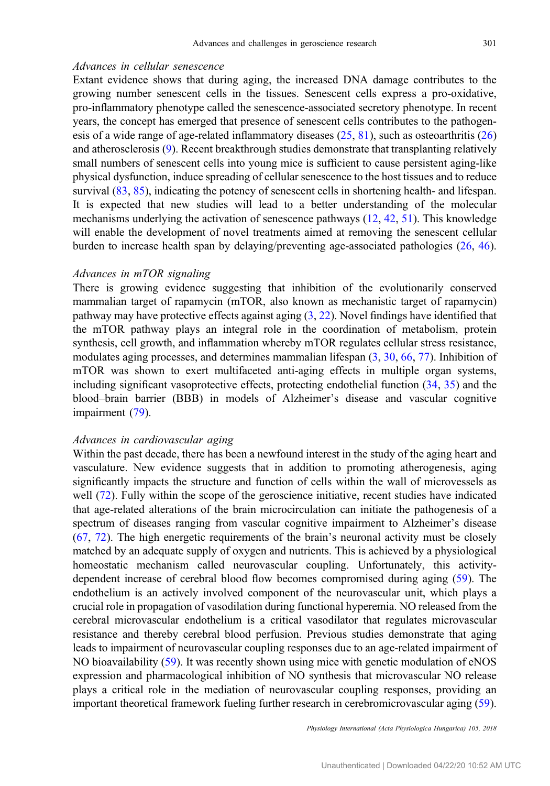## Advances in cellular senescence

Extant evidence shows that during aging, the increased DNA damage contributes to the growing number senescent cells in the tissues. Senescent cells express a pro-oxidative, pro-inflammatory phenotype called the senescence-associated secretory phenotype. In recent years, the concept has emerged that presence of senescent cells contributes to the pathogenesis of a wide range of age-related inflammatory diseases ([25,](#page-6-0) [81\)](#page-9-0), such as osteoarthritis ([26\)](#page-7-0) and atherosclerosis ([9\)](#page-6-0). Recent breakthrough studies demonstrate that transplanting relatively small numbers of senescent cells into young mice is sufficient to cause persistent aging-like physical dysfunction, induce spreading of cellular senescence to the host tissues and to reduce survival ([83,](#page-10-0) [85](#page-10-0)), indicating the potency of senescent cells in shortening health- and lifespan. It is expected that new studies will lead to a better understanding of the molecular mechanisms underlying the activation of senescence pathways [\(12](#page-6-0), [42,](#page-7-0) [51\)](#page-8-0). This knowledge will enable the development of novel treatments aimed at removing the senescent cellular burden to increase health span by delaying/preventing age-associated pathologies [\(26](#page-7-0), [46](#page-8-0)).

#### Advances in mTOR signaling

There is growing evidence suggesting that inhibition of the evolutionarily conserved mammalian target of rapamycin (mTOR, also known as mechanistic target of rapamycin) pathway may have protective effects against aging ([3,](#page-5-0) [22](#page-6-0)). Novel findings have identified that the mTOR pathway plays an integral role in the coordination of metabolism, protein synthesis, cell growth, and inflammation whereby mTOR regulates cellular stress resistance, modulates aging processes, and determines mammalian lifespan [\(3](#page-5-0), [30](#page-7-0), [66](#page-9-0), [77](#page-9-0)). Inhibition of mTOR was shown to exert multifaceted anti-aging effects in multiple organ systems, including significant vasoprotective effects, protecting endothelial function [\(34](#page-7-0), [35](#page-7-0)) and the blood–brain barrier (BBB) in models of Alzheimer's disease and vascular cognitive impairment [\(79](#page-9-0)).

## Advances in cardiovascular aging

Within the past decade, there has been a newfound interest in the study of the aging heart and vasculature. New evidence suggests that in addition to promoting atherogenesis, aging significantly impacts the structure and function of cells within the wall of microvessels as well [\(72](#page-9-0)). Fully within the scope of the geroscience initiative, recent studies have indicated that age-related alterations of the brain microcirculation can initiate the pathogenesis of a spectrum of diseases ranging from vascular cognitive impairment to Alzheimer's disease [\(67](#page-9-0), [72](#page-9-0)). The high energetic requirements of the brain's neuronal activity must be closely matched by an adequate supply of oxygen and nutrients. This is achieved by a physiological homeostatic mechanism called neurovascular coupling. Unfortunately, this activitydependent increase of cerebral blood flow becomes compromised during aging ([59](#page-8-0)). The endothelium is an actively involved component of the neurovascular unit, which plays a crucial role in propagation of vasodilation during functional hyperemia. NO released from the cerebral microvascular endothelium is a critical vasodilator that regulates microvascular resistance and thereby cerebral blood perfusion. Previous studies demonstrate that aging leads to impairment of neurovascular coupling responses due to an age-related impairment of NO bioavailability ([59\)](#page-8-0). It was recently shown using mice with genetic modulation of eNOS expression and pharmacological inhibition of NO synthesis that microvascular NO release plays a critical role in the mediation of neurovascular coupling responses, providing an important theoretical framework fueling further research in cerebromicrovascular aging [\(59](#page-8-0)).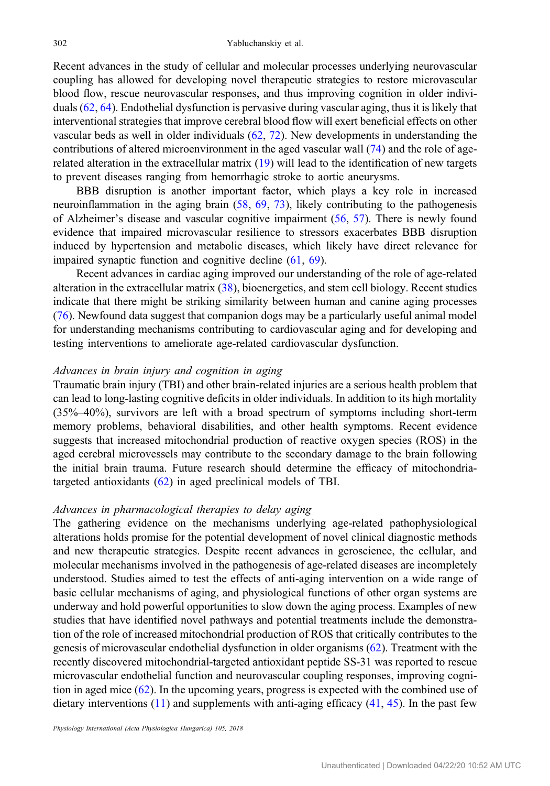Recent advances in the study of cellular and molecular processes underlying neurovascular coupling has allowed for developing novel therapeutic strategies to restore microvascular blood flow, rescue neurovascular responses, and thus improving cognition in older individuals [\(62](#page-8-0), [64\)](#page-9-0). Endothelial dysfunction is pervasive during vascular aging, thus it is likely that interventional strategies that improve cerebral blood flow will exert beneficial effects on other vascular beds as well in older individuals ([62,](#page-8-0) [72](#page-9-0)). New developments in understanding the contributions of altered microenvironment in the aged vascular wall [\(74](#page-9-0)) and the role of agerelated alteration in the extracellular matrix ([19\)](#page-6-0) will lead to the identification of new targets to prevent diseases ranging from hemorrhagic stroke to aortic aneurysms.

BBB disruption is another important factor, which plays a key role in increased neuroinflammation in the aging brain ([58,](#page-8-0) [69](#page-9-0), [73](#page-9-0)), likely contributing to the pathogenesis of Alzheimer's disease and vascular cognitive impairment ([56,](#page-8-0) [57\)](#page-8-0). There is newly found evidence that impaired microvascular resilience to stressors exacerbates BBB disruption induced by hypertension and metabolic diseases, which likely have direct relevance for impaired synaptic function and cognitive decline [\(61](#page-8-0), [69](#page-9-0)).

Recent advances in cardiac aging improved our understanding of the role of age-related alteration in the extracellular matrix ([38\)](#page-7-0), bioenergetics, and stem cell biology. Recent studies indicate that there might be striking similarity between human and canine aging processes [\(76](#page-9-0)). Newfound data suggest that companion dogs may be a particularly useful animal model for understanding mechanisms contributing to cardiovascular aging and for developing and testing interventions to ameliorate age-related cardiovascular dysfunction.

#### Advances in brain injury and cognition in aging

Traumatic brain injury (TBI) and other brain-related injuries are a serious health problem that can lead to long-lasting cognitive deficits in older individuals. In addition to its high mortality (35%–40%), survivors are left with a broad spectrum of symptoms including short-term memory problems, behavioral disabilities, and other health symptoms. Recent evidence suggests that increased mitochondrial production of reactive oxygen species (ROS) in the aged cerebral microvessels may contribute to the secondary damage to the brain following the initial brain trauma. Future research should determine the efficacy of mitochondriatargeted antioxidants ([62\)](#page-8-0) in aged preclinical models of TBI.

# Advances in pharmacological therapies to delay aging

The gathering evidence on the mechanisms underlying age-related pathophysiological alterations holds promise for the potential development of novel clinical diagnostic methods and new therapeutic strategies. Despite recent advances in geroscience, the cellular, and molecular mechanisms involved in the pathogenesis of age-related diseases are incompletely understood. Studies aimed to test the effects of anti-aging intervention on a wide range of basic cellular mechanisms of aging, and physiological functions of other organ systems are underway and hold powerful opportunities to slow down the aging process. Examples of new studies that have identified novel pathways and potential treatments include the demonstration of the role of increased mitochondrial production of ROS that critically contributes to the genesis of microvascular endothelial dysfunction in older organisms [\(62](#page-8-0)). Treatment with the recently discovered mitochondrial-targeted antioxidant peptide SS-31 was reported to rescue microvascular endothelial function and neurovascular coupling responses, improving cognition in aged mice  $(62)$  $(62)$ . In the upcoming years, progress is expected with the combined use of dietary interventions  $(11)$  $(11)$  and supplements with anti-aging efficacy  $(41, 45)$  $(41, 45)$  $(41, 45)$  $(41, 45)$  $(41, 45)$ . In the past few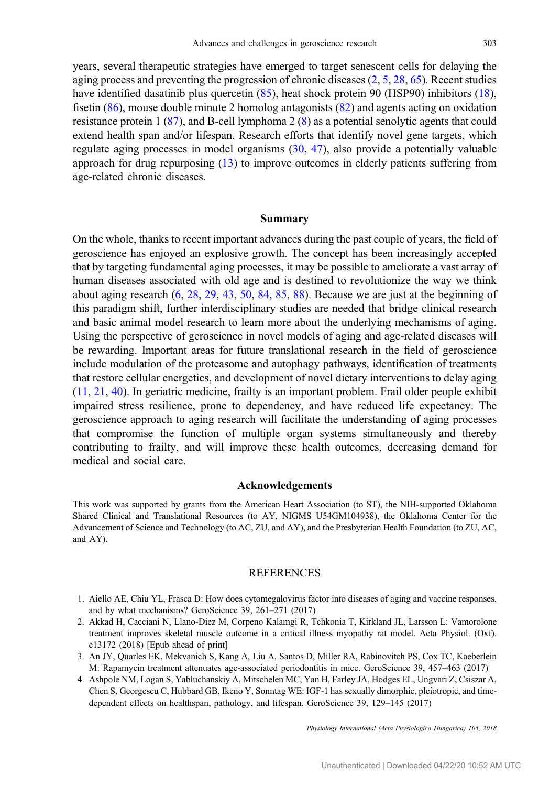<span id="page-5-0"></span>years, several therapeutic strategies have emerged to target senescent cells for delaying the aging process and preventing the progression of chronic diseases  $(2, 5, 28, 65)$  $(2, 5, 28, 65)$  $(2, 5, 28, 65)$  $(2, 5, 28, 65)$  $(2, 5, 28, 65)$  $(2, 5, 28, 65)$  $(2, 5, 28, 65)$ . Recent studies have identified dasatinib plus quercetin [\(85](#page-10-0)), heat shock protein 90 (HSP90) inhibitors [\(18](#page-6-0)), fisetin ([86\)](#page-10-0), mouse double minute 2 homolog antagonists ([82\)](#page-9-0) and agents acting on oxidation resistance protein 1  $(87)$  $(87)$ , and B-cell lymphoma 2  $(8)$  $(8)$  as a potential senolytic agents that could extend health span and/or lifespan. Research efforts that identify novel gene targets, which regulate aging processes in model organisms [\(30](#page-7-0), [47](#page-8-0)), also provide a potentially valuable approach for drug repurposing [\(13](#page-6-0)) to improve outcomes in elderly patients suffering from age-related chronic diseases.

## Summary

On the whole, thanks to recent important advances during the past couple of years, the field of geroscience has enjoyed an explosive growth. The concept has been increasingly accepted that by targeting fundamental aging processes, it may be possible to ameliorate a vast array of human diseases associated with old age and is destined to revolutionize the way we think about aging research  $(6, 28, 29, 43, 50, 84, 85, 88)$  $(6, 28, 29, 43, 50, 84, 85, 88)$  $(6, 28, 29, 43, 50, 84, 85, 88)$  $(6, 28, 29, 43, 50, 84, 85, 88)$  $(6, 28, 29, 43, 50, 84, 85, 88)$  $(6, 28, 29, 43, 50, 84, 85, 88)$  $(6, 28, 29, 43, 50, 84, 85, 88)$  $(6, 28, 29, 43, 50, 84, 85, 88)$  $(6, 28, 29, 43, 50, 84, 85, 88)$  $(6, 28, 29, 43, 50, 84, 85, 88)$  $(6, 28, 29, 43, 50, 84, 85, 88)$  $(6, 28, 29, 43, 50, 84, 85, 88)$  $(6, 28, 29, 43, 50, 84, 85, 88)$  $(6, 28, 29, 43, 50, 84, 85, 88)$  $(6, 28, 29, 43, 50, 84, 85, 88)$  $(6, 28, 29, 43, 50, 84, 85, 88)$ . Because we are just at the beginning of this paradigm shift, further interdisciplinary studies are needed that bridge clinical research and basic animal model research to learn more about the underlying mechanisms of aging. Using the perspective of geroscience in novel models of aging and age-related diseases will be rewarding. Important areas for future translational research in the field of geroscience include modulation of the proteasome and autophagy pathways, identification of treatments that restore cellular energetics, and development of novel dietary interventions to delay aging [\(11](#page-6-0), [21](#page-6-0), [40](#page-7-0)). In geriatric medicine, frailty is an important problem. Frail older people exhibit impaired stress resilience, prone to dependency, and have reduced life expectancy. The geroscience approach to aging research will facilitate the understanding of aging processes that compromise the function of multiple organ systems simultaneously and thereby contributing to frailty, and will improve these health outcomes, decreasing demand for medical and social care.

#### Acknowledgements

This work was supported by grants from the American Heart Association (to ST), the NIH-supported Oklahoma Shared Clinical and Translational Resources (to AY, NIGMS U54GM104938), the Oklahoma Center for the Advancement of Science and Technology (to AC, ZU, and AY), and the Presbyterian Health Foundation (to ZU, AC, and AY).

#### **REFERENCES**

- 1. Aiello AE, Chiu YL, Frasca D: How does cytomegalovirus factor into diseases of aging and vaccine responses, and by what mechanisms? GeroScience 39, 261–271 (2017)
- 2. Akkad H, Cacciani N, Llano-Diez M, Corpeno Kalamgi R, Tchkonia T, Kirkland JL, Larsson L: Vamorolone treatment improves skeletal muscle outcome in a critical illness myopathy rat model. Acta Physiol. (Oxf). e13172 (2018) [Epub ahead of print]
- 3. An JY, Quarles EK, Mekvanich S, Kang A, Liu A, Santos D, Miller RA, Rabinovitch PS, Cox TC, Kaeberlein M: Rapamycin treatment attenuates age-associated periodontitis in mice. GeroScience 39, 457–463 (2017)
- 4. Ashpole NM, Logan S, Yabluchanskiy A, Mitschelen MC, Yan H, Farley JA, Hodges EL, Ungvari Z, Csiszar A, Chen S, Georgescu C, Hubbard GB, Ikeno Y, Sonntag WE: IGF-1 has sexually dimorphic, pleiotropic, and timedependent effects on healthspan, pathology, and lifespan. GeroScience 39, 129–145 (2017)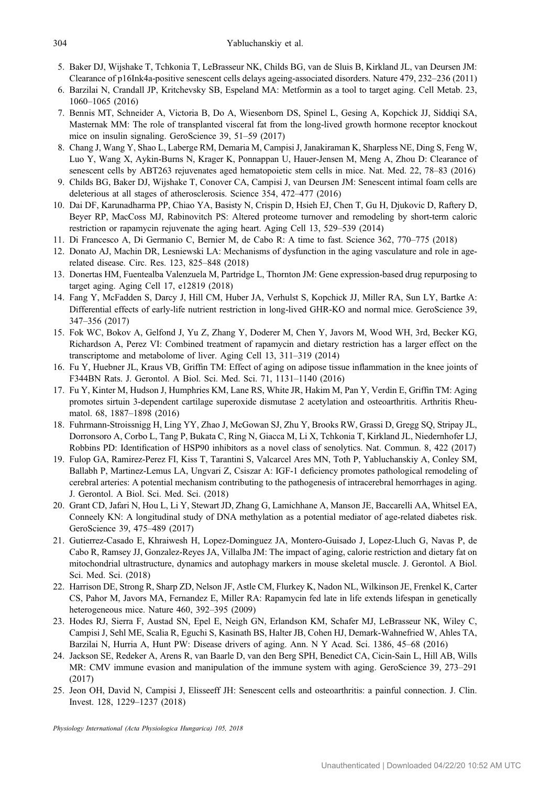- <span id="page-6-0"></span>5. Baker DJ, Wijshake T, Tchkonia T, LeBrasseur NK, Childs BG, van de Sluis B, Kirkland JL, van Deursen JM: Clearance of p16Ink4a-positive senescent cells delays ageing-associated disorders. Nature 479, 232–236 (2011)
- 6. Barzilai N, Crandall JP, Kritchevsky SB, Espeland MA: Metformin as a tool to target aging. Cell Metab. 23, 1060–1065 (2016)
- 7. Bennis MT, Schneider A, Victoria B, Do A, Wiesenborn DS, Spinel L, Gesing A, Kopchick JJ, Siddiqi SA, Masternak MM: The role of transplanted visceral fat from the long-lived growth hormone receptor knockout mice on insulin signaling. GeroScience 39, 51–59 (2017)
- 8. Chang J, Wang Y, Shao L, Laberge RM, Demaria M, Campisi J, Janakiraman K, Sharpless NE, Ding S, Feng W, Luo Y, Wang X, Aykin-Burns N, Krager K, Ponnappan U, Hauer-Jensen M, Meng A, Zhou D: Clearance of senescent cells by ABT263 rejuvenates aged hematopoietic stem cells in mice. Nat. Med. 22, 78–83 (2016)
- 9. Childs BG, Baker DJ, Wijshake T, Conover CA, Campisi J, van Deursen JM: Senescent intimal foam cells are deleterious at all stages of atherosclerosis. Science 354, 472–477 (2016)
- 10. Dai DF, Karunadharma PP, Chiao YA, Basisty N, Crispin D, Hsieh EJ, Chen T, Gu H, Djukovic D, Raftery D, Beyer RP, MacCoss MJ, Rabinovitch PS: Altered proteome turnover and remodeling by short-term caloric restriction or rapamycin rejuvenate the aging heart. Aging Cell 13, 529–539 (2014)
- 11. Di Francesco A, Di Germanio C, Bernier M, de Cabo R: A time to fast. Science 362, 770–775 (2018)
- 12. Donato AJ, Machin DR, Lesniewski LA: Mechanisms of dysfunction in the aging vasculature and role in agerelated disease. Circ. Res. 123, 825–848 (2018)
- 13. Donertas HM, Fuentealba Valenzuela M, Partridge L, Thornton JM: Gene expression-based drug repurposing to target aging. Aging Cell 17, e12819 (2018)
- 14. Fang Y, McFadden S, Darcy J, Hill CM, Huber JA, Verhulst S, Kopchick JJ, Miller RA, Sun LY, Bartke A: Differential effects of early-life nutrient restriction in long-lived GHR-KO and normal mice. GeroScience 39, 347–356 (2017)
- 15. Fok WC, Bokov A, Gelfond J, Yu Z, Zhang Y, Doderer M, Chen Y, Javors M, Wood WH, 3rd, Becker KG, Richardson A, Perez VI: Combined treatment of rapamycin and dietary restriction has a larger effect on the transcriptome and metabolome of liver. Aging Cell 13, 311–319 (2014)
- 16. Fu Y, Huebner JL, Kraus VB, Griffin TM: Effect of aging on adipose tissue inflammation in the knee joints of F344BN Rats. J. Gerontol. A Biol. Sci. Med. Sci. 71, 1131–1140 (2016)
- 17. Fu Y, Kinter M, Hudson J, Humphries KM, Lane RS, White JR, Hakim M, Pan Y, Verdin E, Griffin TM: Aging promotes sirtuin 3-dependent cartilage superoxide dismutase 2 acetylation and osteoarthritis. Arthritis Rheumatol. 68, 1887–1898 (2016)
- 18. Fuhrmann-Stroissnigg H, Ling YY, Zhao J, McGowan SJ, Zhu Y, Brooks RW, Grassi D, Gregg SQ, Stripay JL, Dorronsoro A, Corbo L, Tang P, Bukata C, Ring N, Giacca M, Li X, Tchkonia T, Kirkland JL, Niedernhofer LJ, Robbins PD: Identification of HSP90 inhibitors as a novel class of senolytics. Nat. Commun. 8, 422 (2017)
- 19. Fulop GA, Ramirez-Perez FI, Kiss T, Tarantini S, Valcarcel Ares MN, Toth P, Yabluchanskiy A, Conley SM, Ballabh P, Martinez-Lemus LA, Ungvari Z, Csiszar A: IGF-1 deficiency promotes pathological remodeling of cerebral arteries: A potential mechanism contributing to the pathogenesis of intracerebral hemorrhages in aging. J. Gerontol. A Biol. Sci. Med. Sci. (2018)
- 20. Grant CD, Jafari N, Hou L, Li Y, Stewart JD, Zhang G, Lamichhane A, Manson JE, Baccarelli AA, Whitsel EA, Conneely KN: A longitudinal study of DNA methylation as a potential mediator of age-related diabetes risk. GeroScience 39, 475–489 (2017)
- 21. Gutierrez-Casado E, Khraiwesh H, Lopez-Dominguez JA, Montero-Guisado J, Lopez-Lluch G, Navas P, de Cabo R, Ramsey JJ, Gonzalez-Reyes JA, Villalba JM: The impact of aging, calorie restriction and dietary fat on mitochondrial ultrastructure, dynamics and autophagy markers in mouse skeletal muscle. J. Gerontol. A Biol. Sci. Med. Sci. (2018)
- 22. Harrison DE, Strong R, Sharp ZD, Nelson JF, Astle CM, Flurkey K, Nadon NL, Wilkinson JE, Frenkel K, Carter CS, Pahor M, Javors MA, Fernandez E, Miller RA: Rapamycin fed late in life extends lifespan in genetically heterogeneous mice. Nature 460, 392–395 (2009)
- 23. Hodes RJ, Sierra F, Austad SN, Epel E, Neigh GN, Erlandson KM, Schafer MJ, LeBrasseur NK, Wiley C, Campisi J, Sehl ME, Scalia R, Eguchi S, Kasinath BS, Halter JB, Cohen HJ, Demark-Wahnefried W, Ahles TA, Barzilai N, Hurria A, Hunt PW: Disease drivers of aging. Ann. N Y Acad. Sci. 1386, 45–68 (2016)
- 24. Jackson SE, Redeker A, Arens R, van Baarle D, van den Berg SPH, Benedict CA, Cicin-Sain L, Hill AB, Wills MR: CMV immune evasion and manipulation of the immune system with aging. GeroScience 39, 273–291 (2017)
- 25. Jeon OH, David N, Campisi J, Elisseeff JH: Senescent cells and osteoarthritis: a painful connection. J. Clin. Invest. 128, 1229–1237 (2018)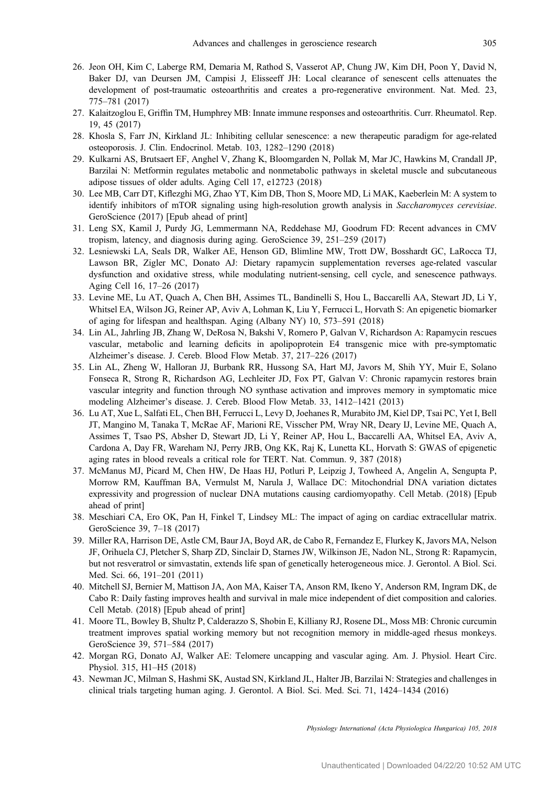- <span id="page-7-0"></span>26. Jeon OH, Kim C, Laberge RM, Demaria M, Rathod S, Vasserot AP, Chung JW, Kim DH, Poon Y, David N, Baker DJ, van Deursen JM, Campisi J, Elisseeff JH: Local clearance of senescent cells attenuates the development of post-traumatic osteoarthritis and creates a pro-regenerative environment. Nat. Med. 23, 775–781 (2017)
- 27. Kalaitzoglou E, Griffin TM, Humphrey MB: Innate immune responses and osteoarthritis. Curr. Rheumatol. Rep. 19, 45 (2017)
- 28. Khosla S, Farr JN, Kirkland JL: Inhibiting cellular senescence: a new therapeutic paradigm for age-related osteoporosis. J. Clin. Endocrinol. Metab. 103, 1282–1290 (2018)
- 29. Kulkarni AS, Brutsaert EF, Anghel V, Zhang K, Bloomgarden N, Pollak M, Mar JC, Hawkins M, Crandall JP, Barzilai N: Metformin regulates metabolic and nonmetabolic pathways in skeletal muscle and subcutaneous adipose tissues of older adults. Aging Cell 17, e12723 (2018)
- 30. Lee MB, Carr DT, Kiflezghi MG, Zhao YT, Kim DB, Thon S, Moore MD, Li MAK, Kaeberlein M: A system to identify inhibitors of mTOR signaling using high-resolution growth analysis in Saccharomyces cerevisiae. GeroScience (2017) [Epub ahead of print]
- 31. Leng SX, Kamil J, Purdy JG, Lemmermann NA, Reddehase MJ, Goodrum FD: Recent advances in CMV tropism, latency, and diagnosis during aging. GeroScience 39, 251–259 (2017)
- 32. Lesniewski LA, Seals DR, Walker AE, Henson GD, Blimline MW, Trott DW, Bosshardt GC, LaRocca TJ, Lawson BR, Zigler MC, Donato AJ: Dietary rapamycin supplementation reverses age-related vascular dysfunction and oxidative stress, while modulating nutrient-sensing, cell cycle, and senescence pathways. Aging Cell 16, 17–26 (2017)
- 33. Levine ME, Lu AT, Quach A, Chen BH, Assimes TL, Bandinelli S, Hou L, Baccarelli AA, Stewart JD, Li Y, Whitsel EA, Wilson JG, Reiner AP, Aviv A, Lohman K, Liu Y, Ferrucci L, Horvath S: An epigenetic biomarker of aging for lifespan and healthspan. Aging (Albany NY) 10, 573–591 (2018)
- 34. Lin AL, Jahrling JB, Zhang W, DeRosa N, Bakshi V, Romero P, Galvan V, Richardson A: Rapamycin rescues vascular, metabolic and learning deficits in apolipoprotein E4 transgenic mice with pre-symptomatic Alzheimer's disease. J. Cereb. Blood Flow Metab. 37, 217–226 (2017)
- 35. Lin AL, Zheng W, Halloran JJ, Burbank RR, Hussong SA, Hart MJ, Javors M, Shih YY, Muir E, Solano Fonseca R, Strong R, Richardson AG, Lechleiter JD, Fox PT, Galvan V: Chronic rapamycin restores brain vascular integrity and function through NO synthase activation and improves memory in symptomatic mice modeling Alzheimer's disease. J. Cereb. Blood Flow Metab. 33, 1412–1421 (2013)
- 36. Lu AT, Xue L, Salfati EL, Chen BH, Ferrucci L, Levy D, Joehanes R, Murabito JM, Kiel DP, Tsai PC, Yet I, Bell JT, Mangino M, Tanaka T, McRae AF, Marioni RE, Visscher PM, Wray NR, Deary IJ, Levine ME, Quach A, Assimes T, Tsao PS, Absher D, Stewart JD, Li Y, Reiner AP, Hou L, Baccarelli AA, Whitsel EA, Aviv A, Cardona A, Day FR, Wareham NJ, Perry JRB, Ong KK, Raj K, Lunetta KL, Horvath S: GWAS of epigenetic aging rates in blood reveals a critical role for TERT. Nat. Commun. 9, 387 (2018)
- 37. McManus MJ, Picard M, Chen HW, De Haas HJ, Potluri P, Leipzig J, Towheed A, Angelin A, Sengupta P, Morrow RM, Kauffman BA, Vermulst M, Narula J, Wallace DC: Mitochondrial DNA variation dictates expressivity and progression of nuclear DNA mutations causing cardiomyopathy. Cell Metab. (2018) [Epub ahead of print]
- 38. Meschiari CA, Ero OK, Pan H, Finkel T, Lindsey ML: The impact of aging on cardiac extracellular matrix. GeroScience 39, 7–18 (2017)
- 39. Miller RA, Harrison DE, Astle CM, Baur JA, Boyd AR, de Cabo R, Fernandez E, Flurkey K, Javors MA, Nelson JF, Orihuela CJ, Pletcher S, Sharp ZD, Sinclair D, Starnes JW, Wilkinson JE, Nadon NL, Strong R: Rapamycin, but not resveratrol or simvastatin, extends life span of genetically heterogeneous mice. J. Gerontol. A Biol. Sci. Med. Sci. 66, 191–201 (2011)
- 40. Mitchell SJ, Bernier M, Mattison JA, Aon MA, Kaiser TA, Anson RM, Ikeno Y, Anderson RM, Ingram DK, de Cabo R: Daily fasting improves health and survival in male mice independent of diet composition and calories. Cell Metab. (2018) [Epub ahead of print]
- 41. Moore TL, Bowley B, Shultz P, Calderazzo S, Shobin E, Killiany RJ, Rosene DL, Moss MB: Chronic curcumin treatment improves spatial working memory but not recognition memory in middle-aged rhesus monkeys. GeroScience 39, 571–584 (2017)
- 42. Morgan RG, Donato AJ, Walker AE: Telomere uncapping and vascular aging. Am. J. Physiol. Heart Circ. Physiol. 315, H1–H5 (2018)
- 43. Newman JC, Milman S, Hashmi SK, Austad SN, Kirkland JL, Halter JB, Barzilai N: Strategies and challenges in clinical trials targeting human aging. J. Gerontol. A Biol. Sci. Med. Sci. 71, 1424–1434 (2016)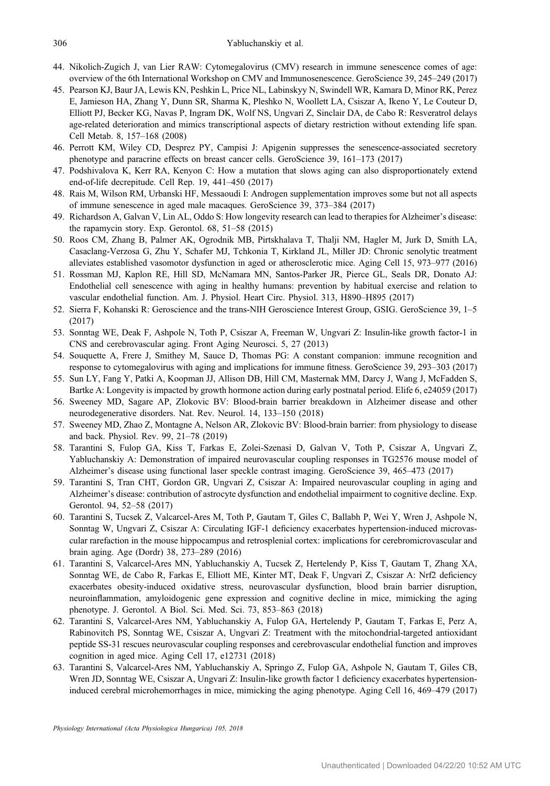- <span id="page-8-0"></span>44. Nikolich-Zugich J, van Lier RAW: Cytomegalovirus (CMV) research in immune senescence comes of age: overview of the 6th International Workshop on CMV and Immunosenescence. GeroScience 39, 245–249 (2017)
- 45. Pearson KJ, Baur JA, Lewis KN, Peshkin L, Price NL, Labinskyy N, Swindell WR, Kamara D, Minor RK, Perez E, Jamieson HA, Zhang Y, Dunn SR, Sharma K, Pleshko N, Woollett LA, Csiszar A, Ikeno Y, Le Couteur D, Elliott PJ, Becker KG, Navas P, Ingram DK, Wolf NS, Ungvari Z, Sinclair DA, de Cabo R: Resveratrol delays age-related deterioration and mimics transcriptional aspects of dietary restriction without extending life span. Cell Metab. 8, 157–168 (2008)
- 46. Perrott KM, Wiley CD, Desprez PY, Campisi J: Apigenin suppresses the senescence-associated secretory phenotype and paracrine effects on breast cancer cells. GeroScience 39, 161–173 (2017)
- 47. Podshivalova K, Kerr RA, Kenyon C: How a mutation that slows aging can also disproportionately extend end-of-life decrepitude. Cell Rep. 19, 441–450 (2017)
- 48. Rais M, Wilson RM, Urbanski HF, Messaoudi I: Androgen supplementation improves some but not all aspects of immune senescence in aged male macaques. GeroScience 39, 373–384 (2017)
- 49. Richardson A, Galvan V, Lin AL, Oddo S: How longevity research can lead to therapies for Alzheimer's disease: the rapamycin story. Exp. Gerontol. 68, 51–58 (2015)
- 50. Roos CM, Zhang B, Palmer AK, Ogrodnik MB, Pirtskhalava T, Thalji NM, Hagler M, Jurk D, Smith LA, Casaclang-Verzosa G, Zhu Y, Schafer MJ, Tchkonia T, Kirkland JL, Miller JD: Chronic senolytic treatment alleviates established vasomotor dysfunction in aged or atherosclerotic mice. Aging Cell 15, 973–977 (2016)
- 51. Rossman MJ, Kaplon RE, Hill SD, McNamara MN, Santos-Parker JR, Pierce GL, Seals DR, Donato AJ: Endothelial cell senescence with aging in healthy humans: prevention by habitual exercise and relation to vascular endothelial function. Am. J. Physiol. Heart Circ. Physiol. 313, H890–H895 (2017)
- 52. Sierra F, Kohanski R: Geroscience and the trans-NIH Geroscience Interest Group, GSIG. GeroScience 39, 1–5 (2017)
- 53. Sonntag WE, Deak F, Ashpole N, Toth P, Csiszar A, Freeman W, Ungvari Z: Insulin-like growth factor-1 in CNS and cerebrovascular aging. Front Aging Neurosci. 5, 27 (2013)
- 54. Souquette A, Frere J, Smithey M, Sauce D, Thomas PG: A constant companion: immune recognition and response to cytomegalovirus with aging and implications for immune fitness. GeroScience 39, 293–303 (2017)
- 55. Sun LY, Fang Y, Patki A, Koopman JJ, Allison DB, Hill CM, Masternak MM, Darcy J, Wang J, McFadden S, Bartke A: Longevity is impacted by growth hormone action during early postnatal period. Elife 6, e24059 (2017)
- 56. Sweeney MD, Sagare AP, Zlokovic BV: Blood-brain barrier breakdown in Alzheimer disease and other neurodegenerative disorders. Nat. Rev. Neurol. 14, 133–150 (2018)
- 57. Sweeney MD, Zhao Z, Montagne A, Nelson AR, Zlokovic BV: Blood-brain barrier: from physiology to disease and back. Physiol. Rev. 99, 21–78 (2019)
- 58. Tarantini S, Fulop GA, Kiss T, Farkas E, Zolei-Szenasi D, Galvan V, Toth P, Csiszar A, Ungvari Z, Yabluchanskiy A: Demonstration of impaired neurovascular coupling responses in TG2576 mouse model of Alzheimer's disease using functional laser speckle contrast imaging. GeroScience 39, 465–473 (2017)
- 59. Tarantini S, Tran CHT, Gordon GR, Ungvari Z, Csiszar A: Impaired neurovascular coupling in aging and Alzheimer's disease: contribution of astrocyte dysfunction and endothelial impairment to cognitive decline. Exp. Gerontol. 94, 52–58 (2017)
- 60. Tarantini S, Tucsek Z, Valcarcel-Ares M, Toth P, Gautam T, Giles C, Ballabh P, Wei Y, Wren J, Ashpole N, Sonntag W, Ungvari Z, Csiszar A: Circulating IGF-1 deficiency exacerbates hypertension-induced microvascular rarefaction in the mouse hippocampus and retrosplenial cortex: implications for cerebromicrovascular and brain aging. Age (Dordr) 38, 273–289 (2016)
- 61. Tarantini S, Valcarcel-Ares MN, Yabluchanskiy A, Tucsek Z, Hertelendy P, Kiss T, Gautam T, Zhang XA, Sonntag WE, de Cabo R, Farkas E, Elliott ME, Kinter MT, Deak F, Ungvari Z, Csiszar A: Nrf2 deficiency exacerbates obesity-induced oxidative stress, neurovascular dysfunction, blood brain barrier disruption, neuroinflammation, amyloidogenic gene expression and cognitive decline in mice, mimicking the aging phenotype. J. Gerontol. A Biol. Sci. Med. Sci. 73, 853–863 (2018)
- 62. Tarantini S, Valcarcel-Ares NM, Yabluchanskiy A, Fulop GA, Hertelendy P, Gautam T, Farkas E, Perz A, Rabinovitch PS, Sonntag WE, Csiszar A, Ungvari Z: Treatment with the mitochondrial-targeted antioxidant peptide SS-31 rescues neurovascular coupling responses and cerebrovascular endothelial function and improves cognition in aged mice. Aging Cell 17, e12731 (2018)
- 63. Tarantini S, Valcarcel-Ares NM, Yabluchanskiy A, Springo Z, Fulop GA, Ashpole N, Gautam T, Giles CB, Wren JD, Sonntag WE, Csiszar A, Ungvari Z: Insulin-like growth factor 1 deficiency exacerbates hypertensioninduced cerebral microhemorrhages in mice, mimicking the aging phenotype. Aging Cell 16, 469–479 (2017)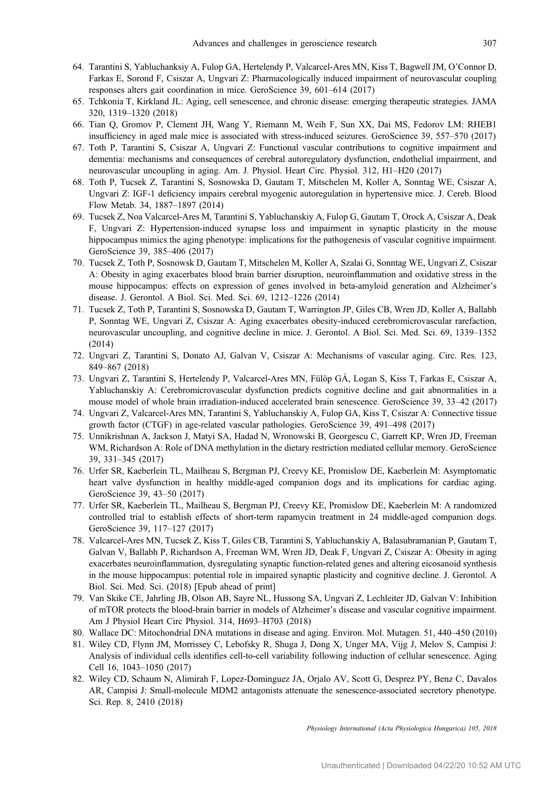- <span id="page-9-0"></span>64. Tarantini S, Yabluchanksiy A, Fulop GA, Hertelendy P, Valcarcel-Ares MN, Kiss T, Bagwell JM, O'Connor D, Farkas E, Sorond F, Csiszar A, Ungvari Z: Pharmacologically induced impairment of neurovascular coupling responses alters gait coordination in mice. GeroScience 39, 601–614 (2017)
- 65. Tchkonia T, Kirkland JL: Aging, cell senescence, and chronic disease: emerging therapeutic strategies. JAMA 320, 1319–1320 (2018)
- 66. Tian Q, Gromov P, Clement JH, Wang Y, Riemann M, Weih F, Sun XX, Dai MS, Fedorov LM: RHEB1 insufficiency in aged male mice is associated with stress-induced seizures. GeroScience 39, 557–570 (2017)
- 67. Toth P, Tarantini S, Csiszar A, Ungvari Z: Functional vascular contributions to cognitive impairment and dementia: mechanisms and consequences of cerebral autoregulatory dysfunction, endothelial impairment, and neurovascular uncoupling in aging. Am. J. Physiol. Heart Circ. Physiol. 312, H1–H20 (2017)
- 68. Toth P, Tucsek Z, Tarantini S, Sosnowska D, Gautam T, Mitschelen M, Koller A, Sonntag WE, Csiszar A, Ungvari Z: IGF-1 deficiency impairs cerebral myogenic autoregulation in hypertensive mice. J. Cereb. Blood Flow Metab. 34, 1887–1897 (2014)
- 69. Tucsek Z, Noa Valcarcel-Ares M, Tarantini S, Yabluchanskiy A, Fulop G, Gautam T, Orock A, Csiszar A, Deak F, Ungvari Z: Hypertension-induced synapse loss and impairment in synaptic plasticity in the mouse hippocampus mimics the aging phenotype: implications for the pathogenesis of vascular cognitive impairment. GeroScience 39, 385–406 (2017)
- 70. Tucsek Z, Toth P, Sosnowsk D, Gautam T, Mitschelen M, Koller A, Szalai G, Sonntag WE, Ungvari Z, Csiszar A: Obesity in aging exacerbates blood brain barrier disruption, neuroinflammation and oxidative stress in the mouse hippocampus: effects on expression of genes involved in beta-amyloid generation and Alzheimer's disease. J. Gerontol. A Biol. Sci. Med. Sci. 69, 1212–1226 (2014)
- 71. Tucsek Z, Toth P, Tarantini S, Sosnowska D, Gautam T, Warrington JP, Giles CB, Wren JD, Koller A, Ballabh P, Sonntag WE, Ungvari Z, Csiszar A: Aging exacerbates obesity-induced cerebromicrovascular rarefaction, neurovascular uncoupling, and cognitive decline in mice. J. Gerontol. A Biol. Sci. Med. Sci. 69, 1339–1352 (2014)
- 72. Ungvari Z, Tarantini S, Donato AJ, Galvan V, Csiszar A: Mechanisms of vascular aging. Circ. Res. 123, 849–867 (2018)
- 73. Ungvari Z, Tarantini S, Hertelendy P, Valcarcel-Ares MN, Fülöp GÁ, Logan S, Kiss T, Farkas E, Csiszar A, Yabluchanskiy A: Cerebromicrovascular dysfunction predicts cognitive decline and gait abnormalities in a mouse model of whole brain irradiation-induced accelerated brain senescence. GeroScience 39, 33–42 (2017)
- 74. Ungvari Z, Valcarcel-Ares MN, Tarantini S, Yabluchanskiy A, Fulop GA, Kiss T, Csiszar A: Connective tissue growth factor (CTGF) in age-related vascular pathologies. GeroScience 39, 491–498 (2017)
- 75. Unnikrishnan A, Jackson J, Matyi SA, Hadad N, Wronowski B, Georgescu C, Garrett KP, Wren JD, Freeman WM, Richardson A: Role of DNA methylation in the dietary restriction mediated cellular memory. GeroScience 39, 331–345 (2017)
- 76. Urfer SR, Kaeberlein TL, Mailheau S, Bergman PJ, Creevy KE, Promislow DE, Kaeberlein M: Asymptomatic heart valve dysfunction in healthy middle-aged companion dogs and its implications for cardiac aging. GeroScience 39, 43–50 (2017)
- 77. Urfer SR, Kaeberlein TL, Mailheau S, Bergman PJ, Creevy KE, Promislow DE, Kaeberlein M: A randomized controlled trial to establish effects of short-term rapamycin treatment in 24 middle-aged companion dogs. GeroScience 39, 117–127 (2017)
- 78. Valcarcel-Ares MN, Tucsek Z, Kiss T, Giles CB, Tarantini S, Yabluchanskiy A, Balasubramanian P, Gautam T, Galvan V, Ballabh P, Richardson A, Freeman WM, Wren JD, Deak F, Ungvari Z, Csiszar A: Obesity in aging exacerbates neuroinflammation, dysregulating synaptic function-related genes and altering eicosanoid synthesis in the mouse hippocampus: potential role in impaired synaptic plasticity and cognitive decline. J. Gerontol. A Biol. Sci. Med. Sci. (2018) [Epub ahead of print]
- 79. Van Skike CE, Jahrling JB, Olson AB, Sayre NL, Hussong SA, Ungvari Z, Lechleiter JD, Galvan V: Inhibition of mTOR protects the blood-brain barrier in models of Alzheimer's disease and vascular cognitive impairment. Am J Physiol Heart Circ Physiol. 314, H693–H703 (2018)
- 80. Wallace DC: Mitochondrial DNA mutations in disease and aging. Environ. Mol. Mutagen. 51, 440–450 (2010)
- 81. Wiley CD, Flynn JM, Morrissey C, Lebofsky R, Shuga J, Dong X, Unger MA, Vijg J, Melov S, Campisi J: Analysis of individual cells identifies cell-to-cell variability following induction of cellular senescence. Aging Cell 16, 1043–1050 (2017)
- 82. Wiley CD, Schaum N, Alimirah F, Lopez-Dominguez JA, Orjalo AV, Scott G, Desprez PY, Benz C, Davalos AR, Campisi J: Small-molecule MDM2 antagonists attenuate the senescence-associated secretory phenotype. Sci. Rep. 8, 2410 (2018)